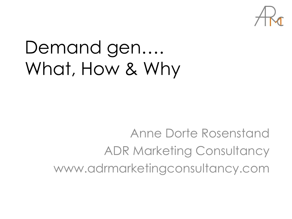

# Demand gen…. What, How & Why

Anne Dorte Rosenstand ADR Marketing Consultancy www.adrmarketingconsultancy.com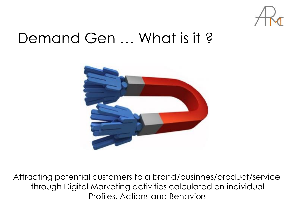

#### Demand Gen … What is it ?



Attracting potential customers to a brand/businnes/product/service through Digital Marketing activities calculated on individual Profiles, Actions and Behaviors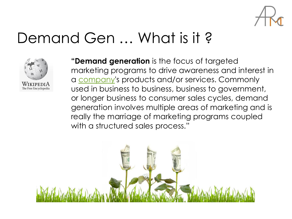

#### Demand Gen … What is it ?



**"Demand generation** is the focus of targeted marketing programs to drive awareness and interest in a [company](https://en.wikipedia.org/wiki/Company)'s products and/or services. Commonly used in business to business, business to government, or longer business to consumer sales cycles, demand generation involves multiple areas of marketing and is really the marriage of marketing programs coupled with a structured sales process."

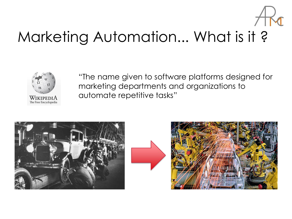

### Marketing Automation... What is it ?



"The name given to software platforms designed for marketing departments and organizations to automate repetitive tasks"



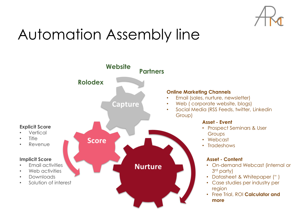

### Automation Assembly line

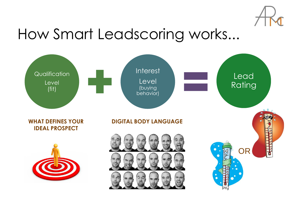

#### How Smart Leadscoring works...

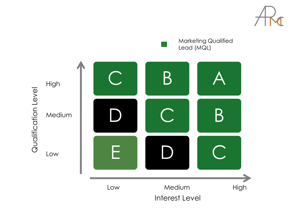

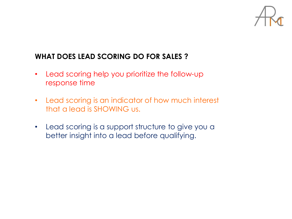

#### **WHAT DOES LEAD SCORING DO FOR SALES ?**

- Lead scoring help you prioritize the follow-up response time
- Lead scoring is an indicator of how much interest that a lead is SHOWING us.
- Lead scoring is a support structure to give you a better insight into a lead before qualifying.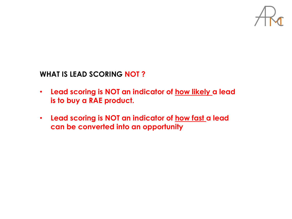

#### **WHAT IS LEAD SCORING NOT ?**

- **Lead scoring is NOT an indicator of how likely a lead is to buy a RAE product.**
- **Lead scoring is NOT an indicator of how fast a lead can be converted into an opportunity**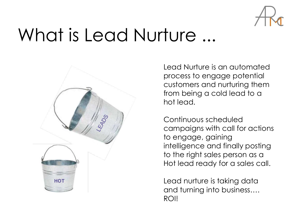

## What is Lead Nurture ...



Lead Nurture is an automated process to engage potential customers and nurturing them from being a cold lead to a hot lead.

Continuous scheduled campaigns with call for actions to engage, gaining intelligence and finally posting to the right sales person as a Hot lead ready for a sales call.

Lead nurture is taking data and turning into business…. ROI!